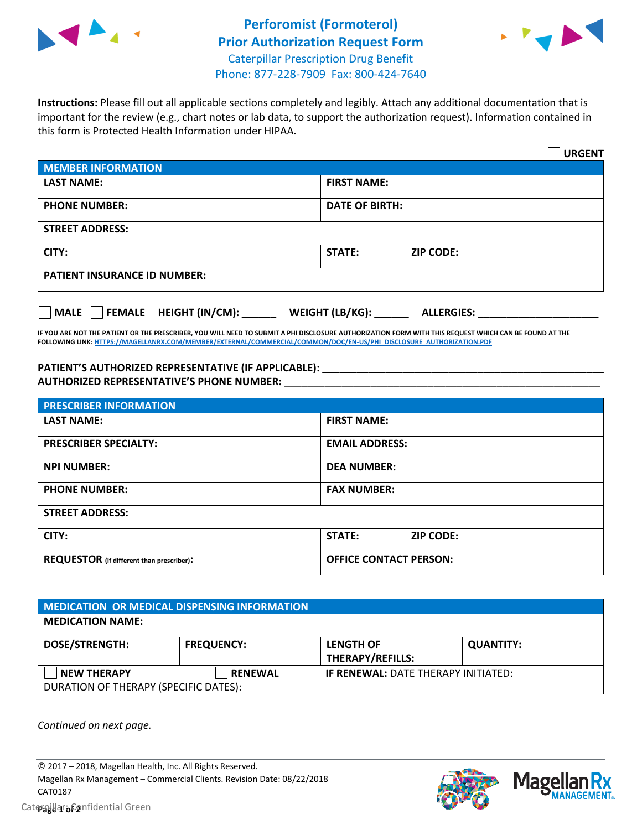



**Instructions:** Please fill out all applicable sections completely and legibly. Attach any additional documentation that is important for the review (e.g., chart notes or lab data, to support the authorization request). Information contained in this form is Protected Health Information under HIPAA.

|                                                | <b>URGENT</b>                        |  |  |  |
|------------------------------------------------|--------------------------------------|--|--|--|
| <b>MEMBER INFORMATION</b>                      |                                      |  |  |  |
| <b>LAST NAME:</b>                              | <b>FIRST NAME:</b>                   |  |  |  |
| <b>PHONE NUMBER:</b>                           | <b>DATE OF BIRTH:</b>                |  |  |  |
| <b>STREET ADDRESS:</b>                         |                                      |  |  |  |
| CITY:                                          | <b>STATE:</b><br><b>ZIP CODE:</b>    |  |  |  |
| <b>PATIENT INSURANCE ID NUMBER:</b>            |                                      |  |  |  |
| $\Box$ FEMALE HEIGHT (IN/CM): _<br><b>MALE</b> | WEIGHT (LB/KG):<br><b>ALLERGIES:</b> |  |  |  |

**IF YOU ARE NOT THE PATIENT OR THE PRESCRIBER, YOU WILL NEED TO SUBMIT A PHI DISCLOSURE AUTHORIZATION FORM WITH THIS REQUEST WHICH CAN BE FOUND AT THE FOLLOWING LINK[: HTTPS://MAGELLANRX.COM/MEMBER/EXTERNAL/COMMERCIAL/COMMON/DOC/EN-US/PHI\\_DISCLOSURE\\_AUTHORIZATION.PDF](https://magellanrx.com/member/external/commercial/common/doc/en-us/PHI_Disclosure_Authorization.pdf)**

**PATIENT'S AUTHORIZED REPRESENTATIVE (IF APPLICABLE): \_\_\_\_\_\_\_\_\_\_\_\_\_\_\_\_\_\_\_\_\_\_\_\_\_\_\_\_\_\_\_\_\_\_\_\_\_\_\_\_\_\_\_\_\_\_\_\_\_ AUTHORIZED REPRESENTATIVE'S PHONE NUMBER:** \_\_\_\_\_\_\_\_\_\_\_\_\_\_\_\_\_\_\_\_\_\_\_\_\_\_\_\_\_\_\_\_\_\_\_\_\_\_\_\_\_\_\_\_\_\_\_\_\_\_\_\_\_\_\_

| <b>PRESCRIBER INFORMATION</b>             |                               |  |  |  |
|-------------------------------------------|-------------------------------|--|--|--|
| <b>LAST NAME:</b>                         | <b>FIRST NAME:</b>            |  |  |  |
| <b>PRESCRIBER SPECIALTY:</b>              | <b>EMAIL ADDRESS:</b>         |  |  |  |
| <b>NPI NUMBER:</b>                        | <b>DEA NUMBER:</b>            |  |  |  |
| <b>PHONE NUMBER:</b>                      | <b>FAX NUMBER:</b>            |  |  |  |
| <b>STREET ADDRESS:</b>                    |                               |  |  |  |
| CITY:                                     | STATE:<br><b>ZIP CODE:</b>    |  |  |  |
| REQUESTOR (if different than prescriber): | <b>OFFICE CONTACT PERSON:</b> |  |  |  |

| <b>MEDICATION OR MEDICAL DISPENSING INFORMATION</b> |                   |                                            |                  |  |  |
|-----------------------------------------------------|-------------------|--------------------------------------------|------------------|--|--|
| <b>MEDICATION NAME:</b>                             |                   |                                            |                  |  |  |
| <b>DOSE/STRENGTH:</b>                               | <b>FREQUENCY:</b> | <b>LENGTH OF</b>                           | <b>QUANTITY:</b> |  |  |
|                                                     |                   | <b>THERAPY/REFILLS:</b>                    |                  |  |  |
| <b>NEW THERAPY</b>                                  | <b>RENEWAL</b>    | <b>IF RENEWAL: DATE THERAPY INITIATED:</b> |                  |  |  |
| DURATION OF THERAPY (SPECIFIC DATES):               |                   |                                            |                  |  |  |

*Continued on next page.*

© 2017 – 2018, Magellan Health, Inc. All Rights Reserved. Magellan Rx Management – Commercial Clients. Revision Date: 08/22/2018 CAT0187